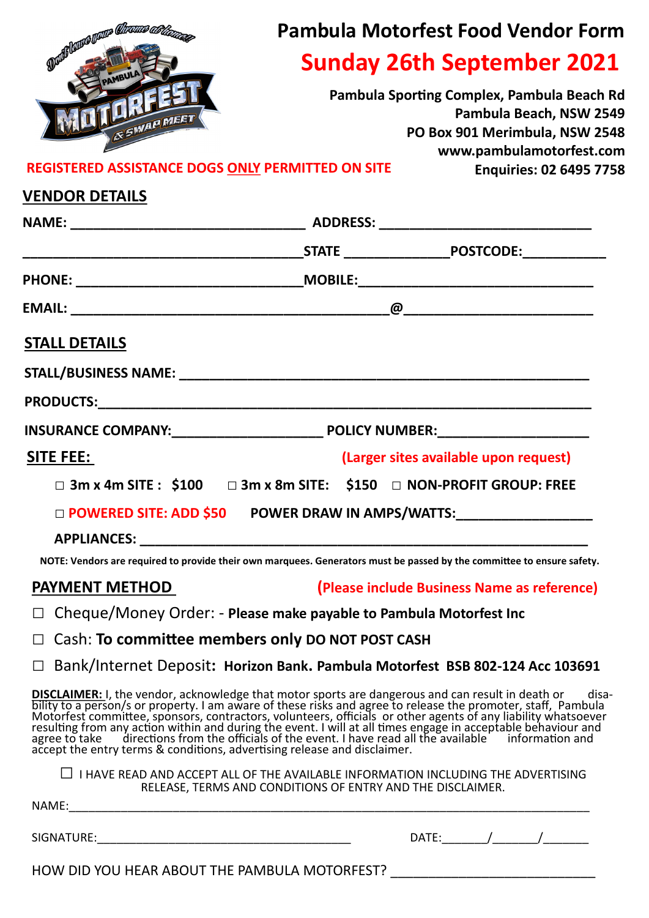|                                                                                                                                                                                                                                                                                                                       | <b>Pambula Motorfest Food Vendor Form</b><br><b>Sunday 26th September 2021</b> |                                             |                                                                                                                                     |  |
|-----------------------------------------------------------------------------------------------------------------------------------------------------------------------------------------------------------------------------------------------------------------------------------------------------------------------|--------------------------------------------------------------------------------|---------------------------------------------|-------------------------------------------------------------------------------------------------------------------------------------|--|
| Duile leurs vous Chronie as les                                                                                                                                                                                                                                                                                       |                                                                                |                                             |                                                                                                                                     |  |
| WERE<br><b><i>ESMAR MEET</i></b>                                                                                                                                                                                                                                                                                      |                                                                                |                                             | Pambula Sporting Complex, Pambula Beach Rd<br>Pambula Beach, NSW 2549<br>PO Box 901 Merimbula, NSW 2548<br>www.pambulamotorfest.com |  |
| REGISTERED ASSISTANCE DOGS ONLY PERMITTED ON SITE                                                                                                                                                                                                                                                                     |                                                                                |                                             | <b>Enquiries: 02 6495 7758</b>                                                                                                      |  |
| <b>VENDOR DETAILS</b>                                                                                                                                                                                                                                                                                                 |                                                                                |                                             |                                                                                                                                     |  |
|                                                                                                                                                                                                                                                                                                                       |                                                                                |                                             |                                                                                                                                     |  |
|                                                                                                                                                                                                                                                                                                                       |                                                                                |                                             |                                                                                                                                     |  |
|                                                                                                                                                                                                                                                                                                                       |                                                                                |                                             |                                                                                                                                     |  |
|                                                                                                                                                                                                                                                                                                                       |                                                                                |                                             |                                                                                                                                     |  |
| <b>STALL DETAILS</b>                                                                                                                                                                                                                                                                                                  |                                                                                |                                             |                                                                                                                                     |  |
|                                                                                                                                                                                                                                                                                                                       |                                                                                |                                             |                                                                                                                                     |  |
|                                                                                                                                                                                                                                                                                                                       |                                                                                |                                             |                                                                                                                                     |  |
|                                                                                                                                                                                                                                                                                                                       |                                                                                |                                             |                                                                                                                                     |  |
| <b>SITE FEE:</b>                                                                                                                                                                                                                                                                                                      |                                                                                | (Larger sites available upon request)       |                                                                                                                                     |  |
| $\Box$ 3m x 4m SITE : \$100 $\Box$ 3m x 8m SITE: \$150 $\Box$ NON-PROFIT GROUP: FREE                                                                                                                                                                                                                                  |                                                                                |                                             |                                                                                                                                     |  |
| $\square$ POWERED SITE: ADD \$50 $\square$ POWER DRAW IN AMPS/WATTS:                                                                                                                                                                                                                                                  |                                                                                |                                             |                                                                                                                                     |  |
|                                                                                                                                                                                                                                                                                                                       |                                                                                |                                             |                                                                                                                                     |  |
| NOTE: Vendors are required to provide their own marquees. Generators must be passed by the committee to ensure safety.                                                                                                                                                                                                |                                                                                |                                             |                                                                                                                                     |  |
| <b>PAYMENT METHOD</b>                                                                                                                                                                                                                                                                                                 |                                                                                | (Please include Business Name as reference) |                                                                                                                                     |  |
| Cheque/Money Order: - Please make payable to Pambula Motorfest Inc                                                                                                                                                                                                                                                    |                                                                                |                                             |                                                                                                                                     |  |
| Cash: To committee members only DO NOT POST CASH                                                                                                                                                                                                                                                                      |                                                                                |                                             |                                                                                                                                     |  |
| Bank/Internet Deposit: Horizon Bank. Pambula Motorfest BSB 802-124 Acc 103691<br>$\Box$                                                                                                                                                                                                                               |                                                                                |                                             |                                                                                                                                     |  |
| <b>DISCLAIMER:</b> I, the vendor, acknowledge that motor sports are dangerous and can result in death or disa-<br>bility to a person/s or property. I am aware of these risks and agree to release the promoter, staff, Pambula<br>Motorf<br>accept the entry terms & conditions, advertising release and disclaimer. |                                                                                |                                             | disa-                                                                                                                               |  |
| $\Box$ I HAVE READ AND ACCEPT ALL OF THE AVAILABLE INFORMATION INCLUDING THE ADVERTISING                                                                                                                                                                                                                              | RELEASE, TERMS AND CONDITIONS OF ENTRY AND THE DISCLAIMER.                     |                                             |                                                                                                                                     |  |
|                                                                                                                                                                                                                                                                                                                       |                                                                                |                                             |                                                                                                                                     |  |
|                                                                                                                                                                                                                                                                                                                       |                                                                                |                                             |                                                                                                                                     |  |
| HOW DID YOU HEAR ABOUT THE PAMBULA MOTORFEST? __________________________________                                                                                                                                                                                                                                      |                                                                                |                                             |                                                                                                                                     |  |